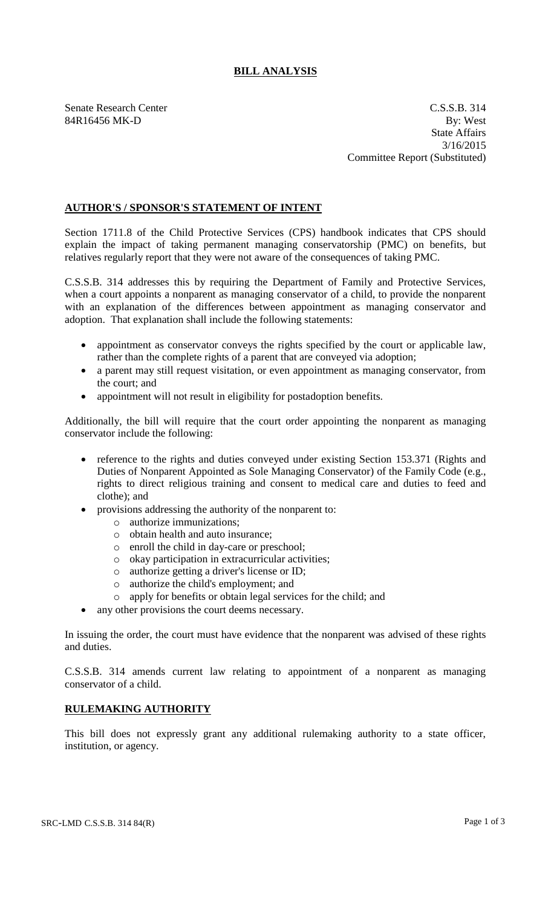## **BILL ANALYSIS**

Senate Research Center C.S.S.B. 314 84R16456 MK-D By: West State Affairs 3/16/2015 Committee Report (Substituted)

## **AUTHOR'S / SPONSOR'S STATEMENT OF INTENT**

Section 1711.8 of the Child Protective Services (CPS) handbook indicates that CPS should explain the impact of taking permanent managing conservatorship (PMC) on benefits, but relatives regularly report that they were not aware of the consequences of taking PMC.

C.S.S.B. 314 addresses this by requiring the Department of Family and Protective Services, when a court appoints a nonparent as managing conservator of a child, to provide the nonparent with an explanation of the differences between appointment as managing conservator and adoption. That explanation shall include the following statements:

- appointment as conservator conveys the rights specified by the court or applicable law, rather than the complete rights of a parent that are conveyed via adoption;
- a parent may still request visitation, or even appointment as managing conservator, from the court; and
- appointment will not result in eligibility for postadoption benefits.

Additionally, the bill will require that the court order appointing the nonparent as managing conservator include the following:

- reference to the rights and duties conveyed under existing Section 153.371 (Rights and Duties of Nonparent Appointed as Sole Managing Conservator) of the Family Code (e.g., rights to direct religious training and consent to medical care and duties to feed and clothe); and
- provisions addressing the authority of the nonparent to:
	- o authorize immunizations;
	- o obtain health and auto insurance;
	- o enroll the child in day-care or preschool;
	- o okay participation in extracurricular activities;
	- o authorize getting a driver's license or ID;
	- o authorize the child's employment; and
	- o apply for benefits or obtain legal services for the child; and
- any other provisions the court deems necessary.

In issuing the order, the court must have evidence that the nonparent was advised of these rights and duties.

C.S.S.B. 314 amends current law relating to appointment of a nonparent as managing conservator of a child.

## **RULEMAKING AUTHORITY**

This bill does not expressly grant any additional rulemaking authority to a state officer, institution, or agency.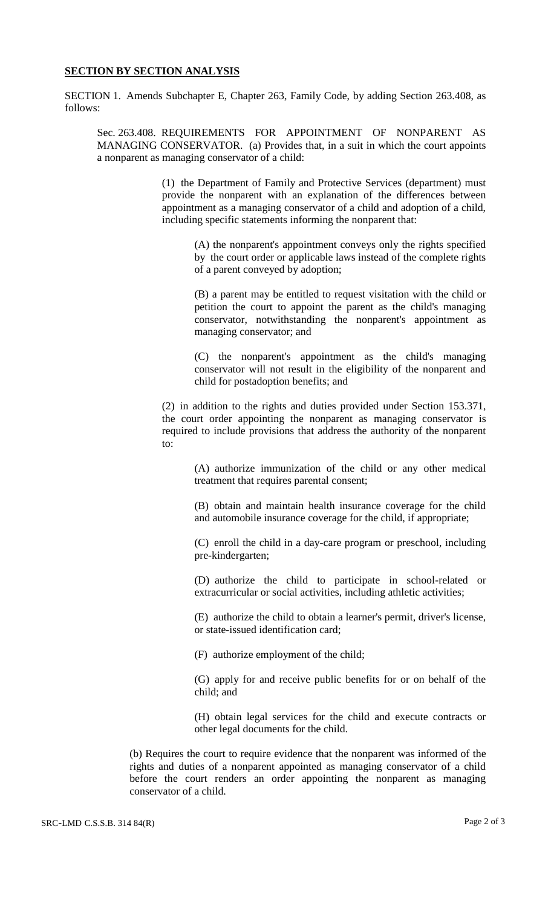## **SECTION BY SECTION ANALYSIS**

SECTION 1. Amends Subchapter E, Chapter 263, Family Code, by adding Section 263.408, as follows:

Sec. 263.408. REQUIREMENTS FOR APPOINTMENT OF NONPARENT AS MANAGING CONSERVATOR. (a) Provides that, in a suit in which the court appoints a nonparent as managing conservator of a child:

> (1) the Department of Family and Protective Services (department) must provide the nonparent with an explanation of the differences between appointment as a managing conservator of a child and adoption of a child, including specific statements informing the nonparent that:

(A) the nonparent's appointment conveys only the rights specified by the court order or applicable laws instead of the complete rights of a parent conveyed by adoption;

(B) a parent may be entitled to request visitation with the child or petition the court to appoint the parent as the child's managing conservator, notwithstanding the nonparent's appointment as managing conservator; and

(C) the nonparent's appointment as the child's managing conservator will not result in the eligibility of the nonparent and child for postadoption benefits; and

(2) in addition to the rights and duties provided under Section 153.371, the court order appointing the nonparent as managing conservator is required to include provisions that address the authority of the nonparent to:

> (A) authorize immunization of the child or any other medical treatment that requires parental consent;

> (B) obtain and maintain health insurance coverage for the child and automobile insurance coverage for the child, if appropriate;

> (C) enroll the child in a day-care program or preschool, including pre-kindergarten;

> (D) authorize the child to participate in school-related or extracurricular or social activities, including athletic activities;

> (E) authorize the child to obtain a learner's permit, driver's license, or state-issued identification card;

(F) authorize employment of the child;

(G) apply for and receive public benefits for or on behalf of the child; and

(H) obtain legal services for the child and execute contracts or other legal documents for the child.

(b) Requires the court to require evidence that the nonparent was informed of the rights and duties of a nonparent appointed as managing conservator of a child before the court renders an order appointing the nonparent as managing conservator of a child.